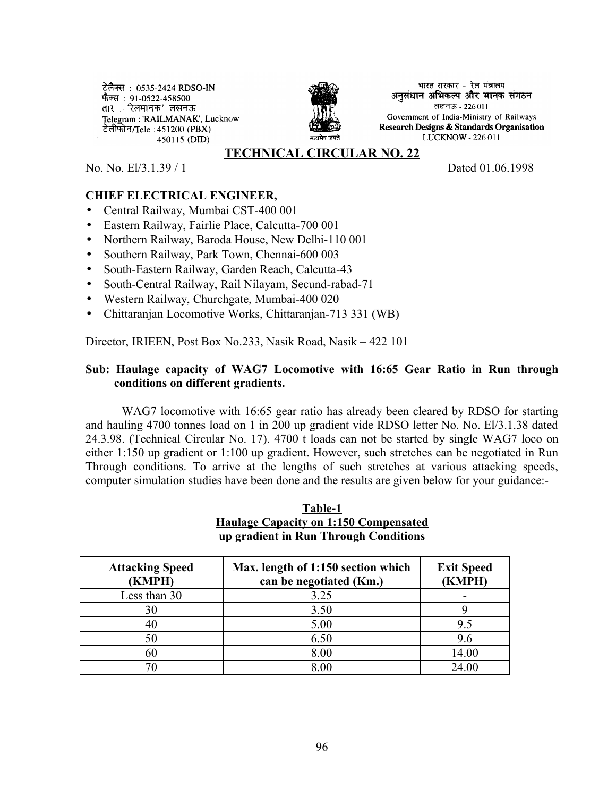टेलैक्स : 0535-2424 RDSO-IN फैक्स : 91-0522-458500 तार: रेलमानक' लखनऊ Telegram: 'RAILMANAK', Lucknow टेलीफोन/Tele : 451200 (PBX) 450115 (DID)



भारत सरकार - रेल मंत्रालय अनसंधान अभिकल्प और मानक संगठन लखनऊ - 226011 Government of India-Ministry of Railways Research Designs & Standards Organisation LUCKNOW - 226 011

### **TECHNICAL CIRCULAR NO. 22**

No. No. El/3.1.39 / 1 Dated 01.06.1998

# **CHIEF ELECTRICAL ENGINEER,**

- Central Railway, Mumbai CST-400 001
- Eastern Railway, Fairlie Place, Calcutta-700 001
- Northern Railway, Baroda House, New Delhi-110 001
- Southern Railway, Park Town, Chennai-600 003
- South-Eastern Railway, Garden Reach, Calcutta-43
- South-Central Railway, Rail Nilayam, Secund-rabad-71
- Western Railway, Churchgate, Mumbai-400 020
- Chittaranjan Locomotive Works, Chittaranjan-713 331 (WB)

Director, IRIEEN, Post Box No.233, Nasik Road, Nasik – 422 101

#### **Sub: Haulage capacity of WAG7 Locomotive with 16:65 Gear Ratio in Run through conditions on different gradients.**

WAG7 locomotive with 16:65 gear ratio has already been cleared by RDSO for starting and hauling 4700 tonnes load on 1 in 200 up gradient vide RDSO letter No. No. El/3.1.38 dated 24.3.98. (Technical Circular No. 17). 4700 t loads can not be started by single WAG7 loco on either 1:150 up gradient or 1:100 up gradient. However, such stretches can be negotiated in Run Through conditions. To arrive at the lengths of such stretches at various attacking speeds, computer simulation studies have been done and the results are given below for your guidance:-

### **Table-1 Haulage Capacity on 1:150 Compensated up gradient in Run Through Conditions**

| <b>Attacking Speed</b><br>(KMPH) | Max. length of 1:150 section which<br>can be negotiated (Km.) | <b>Exit Speed</b><br>(KMPH) |
|----------------------------------|---------------------------------------------------------------|-----------------------------|
| Less than 30                     | 3.25                                                          |                             |
| 30                               | 3.50                                                          |                             |
| 40                               | 5.00                                                          | 9.5                         |
| 50                               | 6.50                                                          | 9.6                         |
| 60                               | 8.00                                                          | 14.00                       |
|                                  | 8.00                                                          | 24.00                       |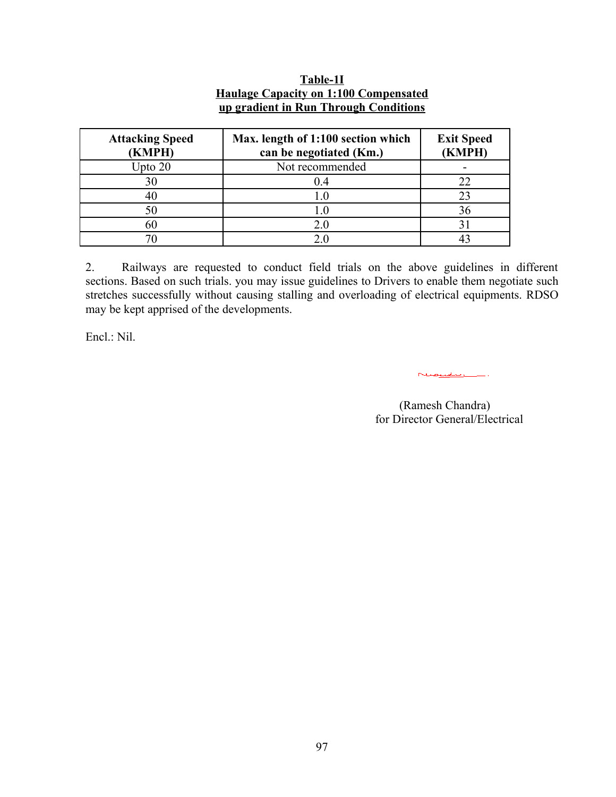| <b>Attacking Speed</b><br>(KMPH) | Max. length of 1:100 section which<br>can be negotiated (Km.) | <b>Exit Speed</b><br>(KMPH) |
|----------------------------------|---------------------------------------------------------------|-----------------------------|
| Upto $20$                        | Not recommended                                               |                             |
| 30                               | 0.4                                                           |                             |
| 40                               | 1.0                                                           |                             |
| 50                               | I.O                                                           |                             |
| 60                               | 2.0                                                           |                             |
|                                  |                                                               |                             |

# **Table-1I Haulage Capacity on 1:100 Compensated up gradient in Run Through Conditions**

2. Railways are requested to conduct field trials on the above guidelines in different sections. Based on such trials. you may issue guidelines to Drivers to enable them negotiate such stretches successfully without causing stalling and overloading of electrical equipments. RDSO may be kept apprised of the developments.

Encl.: Nil.

Nuevoli

 (Ramesh Chandra) for Director General/Electrical